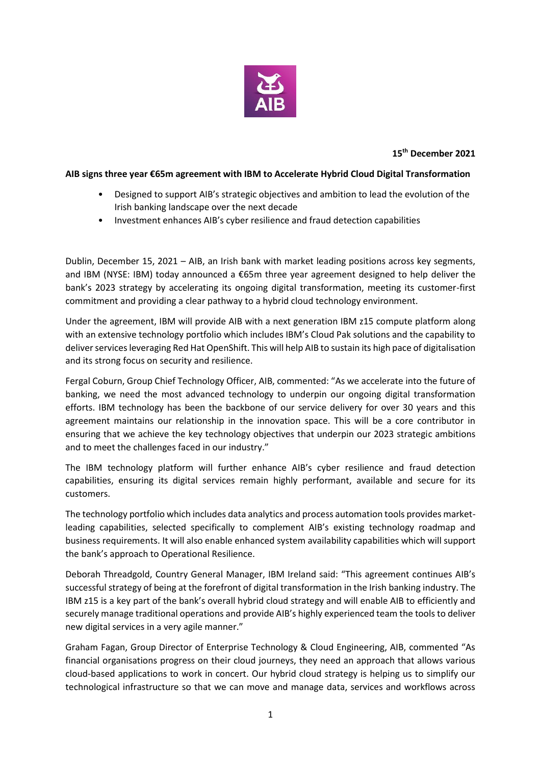

## **15th December 2021**

## **AIB signs three year €65m agreement with IBM to Accelerate Hybrid Cloud Digital Transformation**

- Designed to support AIB's strategic objectives and ambition to lead the evolution of the Irish banking landscape over the next decade
- Investment enhances AIB's cyber resilience and fraud detection capabilities

Dublin, December 15, 2021 – AIB, an Irish bank with market leading positions across key segments, and IBM (NYSE: IBM) today announced a €65m three year agreement designed to help deliver the bank's 2023 strategy by accelerating its ongoing digital transformation, meeting its customer-first commitment and providing a clear pathway to a hybrid cloud technology environment.

Under the agreement, IBM will provide AIB with a next generation IBM z15 compute platform along with an extensive technology portfolio which includes IBM's Cloud Pak solutions and the capability to deliver services leveraging Red Hat OpenShift. This will help AIB to sustain its high pace of digitalisation and its strong focus on security and resilience.

Fergal Coburn, Group Chief Technology Officer, AIB, commented: "As we accelerate into the future of banking, we need the most advanced technology to underpin our ongoing digital transformation efforts. IBM technology has been the backbone of our service delivery for over 30 years and this agreement maintains our relationship in the innovation space. This will be a core contributor in ensuring that we achieve the key technology objectives that underpin our 2023 strategic ambitions and to meet the challenges faced in our industry."

The IBM technology platform will further enhance AIB's cyber resilience and fraud detection capabilities, ensuring its digital services remain highly performant, available and secure for its customers.

The technology portfolio which includes data analytics and process automation tools provides marketleading capabilities, selected specifically to complement AIB's existing technology roadmap and business requirements. It will also enable enhanced system availability capabilities which will support the bank's approach to Operational Resilience.

Deborah Threadgold, Country General Manager, IBM Ireland said: "This agreement continues AIB's successful strategy of being at the forefront of digital transformation in the Irish banking industry. The IBM z15 is a key part of the bank's overall hybrid cloud strategy and will enable AIB to efficiently and securely manage traditional operations and provide AIB's highly experienced team the tools to deliver new digital services in a very agile manner."

Graham Fagan, Group Director of Enterprise Technology & Cloud Engineering, AIB, commented "As financial organisations progress on their cloud journeys, they need an approach that allows various cloud-based applications to work in concert. Our hybrid cloud strategy is helping us to simplify our technological infrastructure so that we can move and manage data, services and workflows across